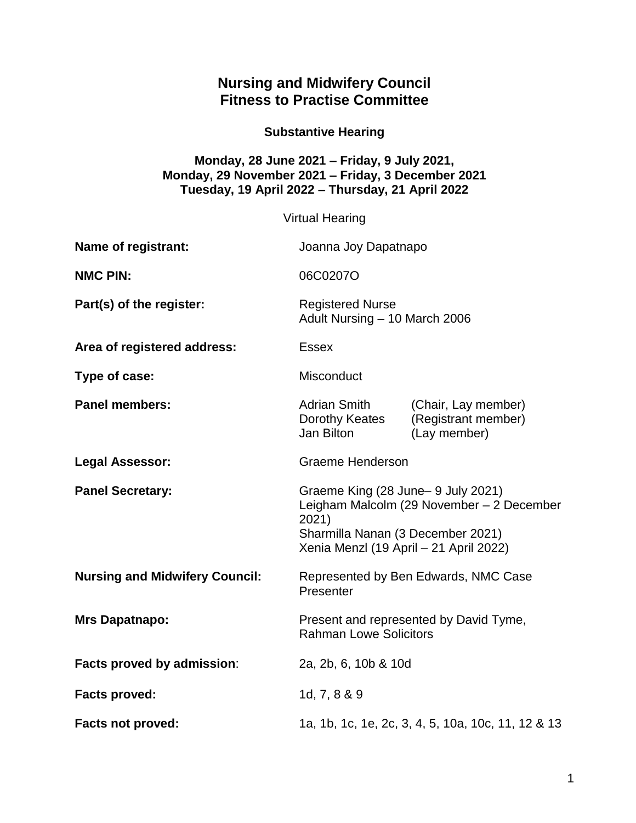## **Nursing and Midwifery Council Fitness to Practise Committee**

**Substantive Hearing**

## **Monday, 28 June 2021 – Friday, 9 July 2021, Monday, 29 November 2021 – Friday, 3 December 2021 Tuesday, 19 April 2022 – Thursday, 21 April 2022**

|                                       | <b>Virtual Hearing</b>                                                                                                                                                   |                                                            |
|---------------------------------------|--------------------------------------------------------------------------------------------------------------------------------------------------------------------------|------------------------------------------------------------|
| <b>Name of registrant:</b>            | Joanna Joy Dapatnapo                                                                                                                                                     |                                                            |
| <b>NMC PIN:</b>                       | 06C0207O                                                                                                                                                                 |                                                            |
| Part(s) of the register:              | <b>Registered Nurse</b><br>Adult Nursing - 10 March 2006                                                                                                                 |                                                            |
| Area of registered address:           | <b>Essex</b>                                                                                                                                                             |                                                            |
| Type of case:                         | Misconduct                                                                                                                                                               |                                                            |
| <b>Panel members:</b>                 | <b>Adrian Smith</b><br>Dorothy Keates<br>Jan Bilton                                                                                                                      | (Chair, Lay member)<br>(Registrant member)<br>(Lay member) |
| <b>Legal Assessor:</b>                | <b>Graeme Henderson</b>                                                                                                                                                  |                                                            |
| <b>Panel Secretary:</b>               | Graeme King (28 June - 9 July 2021)<br>Leigham Malcolm (29 November - 2 December<br>2021)<br>Sharmilla Nanan (3 December 2021)<br>Xenia Menzl (19 April - 21 April 2022) |                                                            |
| <b>Nursing and Midwifery Council:</b> | Represented by Ben Edwards, NMC Case<br>Presenter                                                                                                                        |                                                            |
| <b>Mrs Dapatnapo:</b>                 | Present and represented by David Tyme,<br><b>Rahman Lowe Solicitors</b>                                                                                                  |                                                            |
| Facts proved by admission:            | 2a, 2b, 6, 10b & 10d                                                                                                                                                     |                                                            |
| <b>Facts proved:</b>                  | 1d, 7, 8 & 9                                                                                                                                                             |                                                            |
| <b>Facts not proved:</b>              | 1a, 1b, 1c, 1e, 2c, 3, 4, 5, 10a, 10c, 11, 12 & 13                                                                                                                       |                                                            |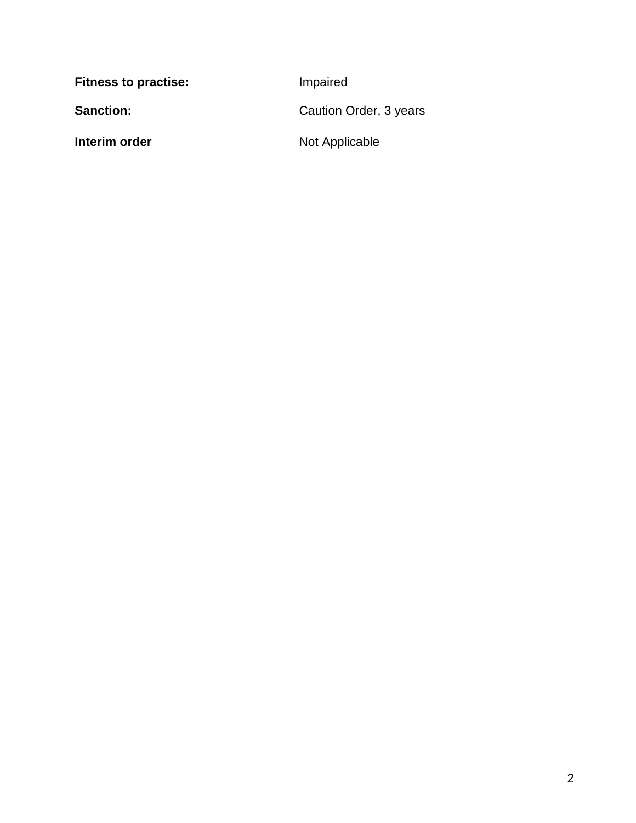| <b>Fitness to practise:</b> | Impaired               |
|-----------------------------|------------------------|
| <b>Sanction:</b>            | Caution Order, 3 years |
| Interim order               | Not Applicable         |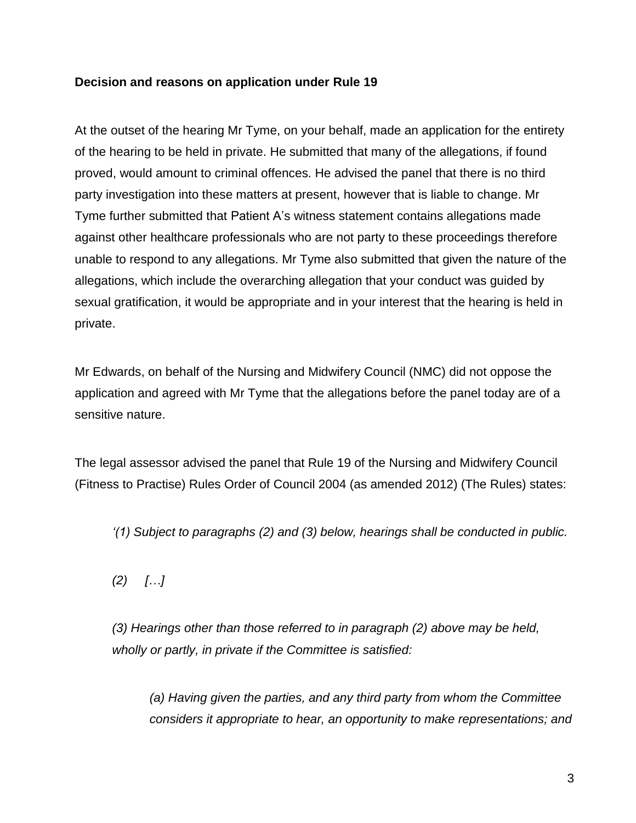## **Decision and reasons on application under Rule 19**

At the outset of the hearing Mr Tyme, on your behalf, made an application for the entirety of the hearing to be held in private. He submitted that many of the allegations, if found proved, would amount to criminal offences. He advised the panel that there is no third party investigation into these matters at present, however that is liable to change. Mr Tyme further submitted that Patient A's witness statement contains allegations made against other healthcare professionals who are not party to these proceedings therefore unable to respond to any allegations. Mr Tyme also submitted that given the nature of the allegations, which include the overarching allegation that your conduct was guided by sexual gratification, it would be appropriate and in your interest that the hearing is held in private.

Mr Edwards, on behalf of the Nursing and Midwifery Council (NMC) did not oppose the application and agreed with Mr Tyme that the allegations before the panel today are of a sensitive nature.

The legal assessor advised the panel that Rule 19 of the Nursing and Midwifery Council (Fitness to Practise) Rules Order of Council 2004 (as amended 2012) (The Rules) states:

*'(1) Subject to paragraphs (2) and (3) below, hearings shall be conducted in public.*

*(2) […]*

*(3) Hearings other than those referred to in paragraph (2) above may be held, wholly or partly, in private if the Committee is satisfied:*

*(a) Having given the parties, and any third party from whom the Committee considers it appropriate to hear, an opportunity to make representations; and*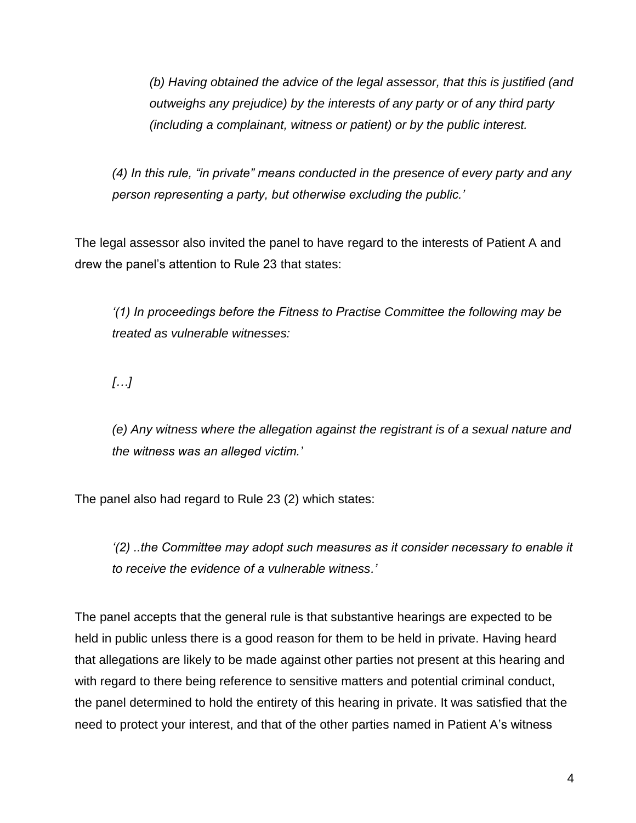*(b) Having obtained the advice of the legal assessor, that this is justified (and outweighs any prejudice) by the interests of any party or of any third party (including a complainant, witness or patient) or by the public interest.*

*(4) In this rule, "in private" means conducted in the presence of every party and any person representing a party, but otherwise excluding the public.'*

The legal assessor also invited the panel to have regard to the interests of Patient A and drew the panel's attention to Rule 23 that states:

*'(1) In proceedings before the Fitness to Practise Committee the following may be treated as vulnerable witnesses:*

*[…]*

*(e) Any witness where the allegation against the registrant is of a sexual nature and the witness was an alleged victim.'*

The panel also had regard to Rule 23 (2) which states:

*'(2) ..the Committee may adopt such measures as it consider necessary to enable it to receive the evidence of a vulnerable witness.'*

The panel accepts that the general rule is that substantive hearings are expected to be held in public unless there is a good reason for them to be held in private. Having heard that allegations are likely to be made against other parties not present at this hearing and with regard to there being reference to sensitive matters and potential criminal conduct, the panel determined to hold the entirety of this hearing in private. It was satisfied that the need to protect your interest, and that of the other parties named in Patient A's witness